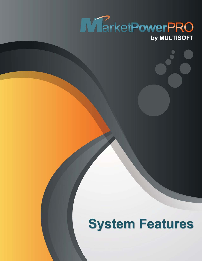

# **System Features**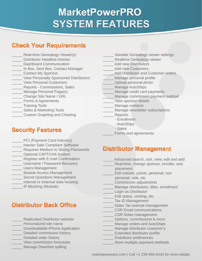# **MarketPowerPRO SYSTEM FEATURES**

### **Check Your Requirements**

- Real-time Genealogy Viewer(s)
- Distributor Headline Articles
- \_\_\_\_\_ Dashboard Communication board Communication<br>x, Sent Box, Contact N<br>act My Sponsor<br>Personally Sponsored
- \_\_\_\_\_ In Box, Sent Box, Contact Manager
- \_\_\_\_\_ Contact My Sponsor
- \_\_\_\_\_ View Personally Sponsored Distributors
- **View Personal Customers**
- Reports Commissions, Sales
- \_\_\_\_\_ Manage Personal Page(s) Personal Page(s)
- \_\_\_\_\_ Change Site Name / URL
- \_\_\_\_\_ Forms & Agreements
- \_\_\_\_\_ Training Tools
- Sales & Marketing Tools
- **Example 2** Custom Graphing and Charting

- PCI (Payment Card Industry)
- \_\_\_\_\_ Hacker Safe Compliant Software
- Requires Medium to Strong Passwords
- \_\_\_\_\_ Optional CAPTCHA System
- Register with E-mail Confirmation
- \_\_\_\_\_ Username / Password Recovery
- \_\_\_\_\_ Users Management
- \_\_\_\_\_ Module Access Management
- **Secret Questions Management**
- \_\_\_\_\_ Internal or external data housing
- \_\_\_\_\_ IP Blocking (Module) Blocking

# View Personal Customers<br>
Manage Presonal Page(s)<br>
Manage AttoShips<br>
Change Stie Name (JRL<br>
Change Stie Name (JRL<br>
Manage Credit carres Agreements<br>
Fraining Tools<br>
Training Tools<br>
Sales & Marketing Tools<br>
Custom Graphing an

- Replicated Distributor website
- **Personalized site name**
- \_\_\_\_\_ Downloadable iPhone Application
- \_\_\_\_\_ Detailed commission history
- Detailed order history
- View commission forecaster
- Manage Downline spilling
- Variable Genealogy viewer settings
- Realtime Genealogy viewer
- Add new Distributors
- Add new Customers
- Add Distributor and Customer orders
- \_\_\_\_\_ Manage personal profi le
- \_\_\_\_\_ Upload personal photo
- Manage AutoShips
- Manage credit card payments
- Manage commission payment method
- View sponsor details
- Manage contacts
	- Manage newsletter subscriptions
	- Reports:
		- Enrollment
		- AutoShips
		- Sales
		- Forms and agreements

- Advanced search, sort, view, edit and add
- Real-time, change sponsor, enroller, and placement
- Edit volume, points, personal, non
- personal, side, etc
- \_\_\_\_\_ Commission adjustments
- Manage distributors, titles, enrollment
- Login as Distributor
- Edit status, vesting, etc.
- \_\_\_\_\_ Tax ID Management
- Sales Tax exempt management
- \_\_\_\_\_ CSR Email communications
- \_\_\_\_\_ CSR Notes management
- \_\_\_\_\_ Options, commissions & more
- Manage orders and AutoShips
- Manage distributor customer's
- Extended distributor profile
- Distributor preferences
- Store multiple payment methods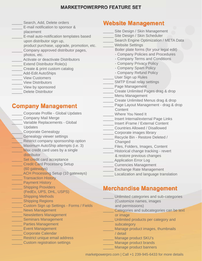- Search, Add, Delete orders
- E-mail notification to sponsor &
- placement
- E-mail auto-notification templates based upon distributor sign up,
- product purchase, upgrade, promotion, etc.
- Company approved distributor pages, photos, etc.
- Activate or deactivate Distributors
- **Extend Distributor Role(s)**
- \_\_\_\_\_ Create & print custom catalog
- \_\_\_\_\_ Add-Edit AutoShips
- \_\_\_\_\_ View Customers
- **View Distributors**
- View by sponsored
- Delete Distributor

### **Company Management**

Corporate Profile - Global Updates \_\_\_\_\_ Company Mail Merge Variable Replacements - Global Updates \_\_\_\_\_ Corporate Genealogy Genealogy viewer settings \_\_\_\_\_ Restrict company sponsorship option **Maximum AutoShip attempts (i.e. 3)** Max credit card uses by a single distributor \_ Set credit card acceptance \_ Credit Card Processing Setup (60 gateways) \_ ACH Processing Setup (10 gateways) **Transaction History** Payment History **Shipping Providers**  (FedEx, UPS, DHL, USPS) \_ Shipping Methods \_\_\_\_\_ Shipping Regions \_\_\_\_\_ Custom Sign up Settings - Forms / Fields \_\_\_\_\_ News Management **Newsletters Management** \_\_\_\_\_ Seminars Management **Example 21 Parties Management Event Management** \_\_\_\_\_ Corporate Calendar **Example 2 Restrict unique email address** \_\_\_\_\_ Custom registration settings

### **Website Management**

- Site Design / Skin Management Site Design / Skin Scheduler
- Search Engine Optimization / META Data
- \_\_\_\_\_ Website Settings
	- Boiler plate forms (for your legal edit)
		- Company Policies and Procedures
		- Company Terms and Conditions
		- Company Privacy Policy
		- Company Spam Policy
		- Company Refund Policy
	- User Sign up Rules
- SMTP Email relay settings
- \_\_\_\_\_ Page Management
- Create Unlimited Pages drag & drop
- Menu Management
	- Create Unlimited Menus drag & drop
- \_\_\_\_\_ Page Layout Management drag & drop **Content**
- \_\_\_\_\_ Where You Need It
- \_\_\_\_\_ Insert Internal/external Page Links
- \_\_\_\_\_ Insert iFrame / External Content
- \_\_\_\_\_ Countries Allowed / Disallowed
- Corporate images library
	- Recycle Bin Restore Deleted / **Changed**
- Files, Folders, Images, Content
- Historical change tracking revert
- & restore previous changes
- Application Error Log
- \_\_\_\_\_ Currencies Management
- Exchange Rate Management
	- Localization and language translation

### **Merchandise Management**

- Unlimited categories and sub-categories
- (Customize names, images
- and permissions)
- Categories and subcategories can be text or image
- \_\_\_\_\_ Unlimited products per category and subcategory
- \_\_\_\_\_ Manage product images, thumbnails / detail
	- Manage product SKU's
- Manage product brands
	- Manage product banners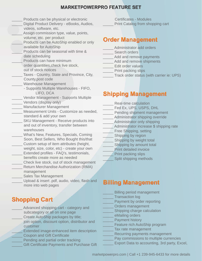- Products can be physical or electronic
- Digital Product Delivery eBooks, Audios, videos, software, etc.
- Assign commission type, value, points, volume, etc. per product
- \_\_\_\_\_ Products can be AutoShip enabled or only available for AutoShip
- Products can be seasonal with time & date scheduling
- Products can have minimum order quantities, check live stock, out of stock notices
	-
	- Taxes Country, State and Province, City, County,post code
	- Warehouse Management
		- Supports Multiple Warehouses FIFO, LIFO, DCA
- Vendor Management Supports Multiple
- \_\_\_\_\_ Vendors (display only)
- Manufacturer Management
- Measurement Units Customize as needed. standard & add your own
- SKU Management Receive products into and out of inventory, transfer between warehouses
- What's New, Features, Specials, Coming Soon, Best Sellers, Who Bought this/that
- Custom setup of item attributes (height, weight, size, color, etc) - create your own \_\_\_\_\_ Extended profi les - FAQ's, testimonials,
- benefits create more as needed
- Check live stock, out of stock management \_\_\_\_\_ Return Merchandise Authorization (RMA)
- management
- Sales Tax Management
- Upload & insert .pdf, audio, video, flash and more into web pages

### **Shopping Cart**

- Advanced shopping cart category and subcategory or all on one page
- Create AutoShip packages by title;
- join option, discount option, distributor and customer
- Extended image-enhanced item description
- Coupon and Gift Certificate
- Pending and partial order tracking
- Gift Certificate Payments and Purchase Gift

Certificates - Modules Print Catalog from shopping cart

### **Order Management**

- Administrator add orders
- Search orders
- \_\_\_\_\_ Add and remove payments
- \_\_\_\_\_ Add and remove shipments
- Edit order values
- \_\_\_\_\_ Print packing slips
- \_\_\_\_\_ Track order status (with carrier ie: UPS)

### **Shipping Management**

- Real-time calculation
- Fed Ex, UPS, USPS, DHL
- \_\_\_\_\_ Pending shipment management
- \_\_\_\_\_ Administrator shipping override
- Administrator only shipping
	- \_\_\_\_\_ Administrator increase \$ shipping rate
- \_\_\_\_\_ Free Shipping, setting
- \_ Shipping by region
- \_\_\_\_\_ Shipping by weight total
- \_ Shipping by amount total
- Print detailed invoice
	- Print packing slips
	- Split shipping methods

### **Billing Management**

- Billing period management
- Transaction log
- Payment by order reporting
- \_\_\_\_\_ Orders management
- Shipping charge calculation
- eMailing orders
- Payment history
- Feature rich AutoShip program
- Tax rate management
- Recurring payments management
- Pay commissions to multiple currencies
- Export Data to accounting, 3rd party, Excel,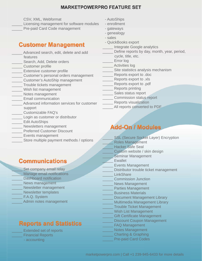CSV, XML, Webformat

Licensing management for software modules Pre-paid Card Code management

### **Customer Management**

- Advanced search, edit, delete and add features
- Search, Add, Delete orders
- \_\_\_\_\_ Customer profi le
- **Extensive customer profile**
- \_\_\_\_\_ Customer's personal orders management
- \_\_\_\_\_ Customer's AutoShip management
- \_\_\_\_\_ Trouble tickets management
- Wish list management
- \_\_\_\_\_ Notes management
- \_\_\_\_\_ Email communication
- Advanced information services for customer support
- \_\_\_\_\_ Customizable FAQ's
- Login as customer or distributor
- \_\_\_\_\_ Edit AutoShips
- \_\_\_\_\_ Newsletters management
- Preferred Customer Discount
- \_\_\_\_\_ Events management
- Store multiple payment methods / options

### **Communications**

- Set company email relay Manage email notifications Dashboard notification News management Newsletter management Newsletter templates F.A.Q. System
- Admin notes management

### **Reports and Statistics**



- AutoShips
- enrollment
- gateways
- genealogy
- sales
- QuickBooks export
	- Integrate Google analytics
- Define reports by day, month, year, period, cycle, title, etc.
- Error log
- Activities log
- Site statistics analysis mechanism
- Reports export to .doc
- Reports export to .xls
- Reports export to .pdf
- \_\_\_\_\_ Reports printing
- Sales status report
- \_\_\_\_\_ Commission status report
- Reports visualization
- All reports converted to PDF

### **Add-On / Modules**

- SSL (Secure Socket Layer) Encryption
- \_\_\_\_\_ Roles Management
- Hacker Safe Seal
- Custom website / skin design
- Seminar Management
- Ewallet
	- \_\_\_\_\_ Events Management
	- Distributor trouble ticket management
- \_\_\_\_\_ LinkShare
- \_\_\_\_\_ Commission Junction
- News Management
- Parties Management
- \_\_\_\_\_ Business Materials
- Document Management Library
- Multimedia Management Library
- Trouble Ticket Management
- Wish List Management
- Gift Certificate Management
- Discount Coupon Management
- FAQ Management
- \_\_\_\_\_ Notes Management
- \_\_\_\_\_ Charting & Graphing
	- Pre-paid Card Codes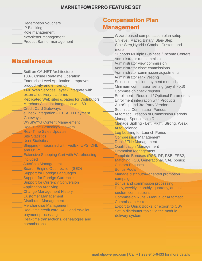- Redemption Vouchers
- IP Blocking
- \_\_\_\_\_ Role management
- Newsletter management
- Product Banner management

### **Miscellaneous**

- Built on C# .NET Architecture 100% Online Real-time Operation \_\_\_\_\_ Enterprise Level Application - Improves productivity and efficiency XML Web Services Layer - Integrate with external delivery platforms Replicated Web sites & pages for Distributors Merchant Account Integration with 60+ **Credit Card Gateways** eCheck Integration - 10+ ACH Payment **Gateways** \_\_\_\_\_ WYSIWYG Content Management Real-Time Genealogy Viewers Real-Time Sales Updates Site Statistics User Statistics Shipping - Integrated with FedEx, UPS, DHL and USPS Extensive Shopping Cart with Warehousing \_\_\_\_\_ Included AutoShip Management Search Engine Optimization (SEO) Support for Foreign Languages Support for Foreign Currencies Support for Currency Conversion \_\_\_\_\_ Application Archiving \_\_\_\_\_ Change Management History \_\_\_\_\_ Customer Management Distributor Management \_\_\_\_\_ Merchandise Management Real-time credit card, ACH and eWallet payment processing
- Real-time transactions, genealogies and commissions

### **Compensation Plan Management**

Wizard based compensation plan setup Unilevel, Matrix, Binary, Stair-Step, Stair-Step,Hybrid / Combo, Custom and more Supports Multiple Business / Income Centers Administrator run commissions Administrator view commission Administrator close commissions Administrator commission adjustments Administrator rank Vesting Select commission payment methods Minimum commission setting (pay if  $> X$$ ) Commission check register Enrollment - Required / Optional Parameters Enrollment integration with Products, AutoShip and 3rd Party Vendors Set Initial Commission Periods \_\_\_\_\_ Automatic Creation of Commission Periods **Manage Sponsorship Rules** Manage Spilling - Left, Right, Strong, Weak, Auto-Balance Leg Locking for Launch Period \_\_\_\_\_ Compression Management Rank / Title Management Qualification Management Promotion Management Template Bonuses (RSB, RP, FSB, FSB2, Matching FSB, Generational, CAB bonus) \_\_\_\_\_ Custom Bonuses \_\_\_\_\_ Bonus Pools Manage distributor–oriented promotion campaigns Bonus and commission processing Daily, weekly, monthly, quarterly, annual, custom commissions \_\_\_\_\_ Commission Runs - Manual or Automatic \_\_\_\_\_ Commission Histories Export to Quick Books, or export to CSV Setup distributor tools via the module delivery system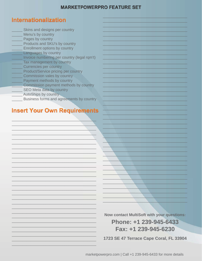### **Internationalization**

- Skins and designs per country
- Menu's by country
- Pages by country
- Products and SKU's by country
- Enrollment options by country
- Languages by country
- Invoice numbering per country (legal rqm't)
- Tax management by country
- **Currencies per country**
- Product/Service pricing per country
- Commission vales by country
- Payment methods by country
- Commission payment methods by country
- SEO Meta data by country
- AutoShips by country
- Business forms and agreements by country

### **Insert Your Own Requirements**

**Now contact MultiSoft with your questions:** 

Phone: +1 239-945-6433 Fax: +1 239-945-6230

1723 SE 47 Terrace Cape Coral, FL 33904